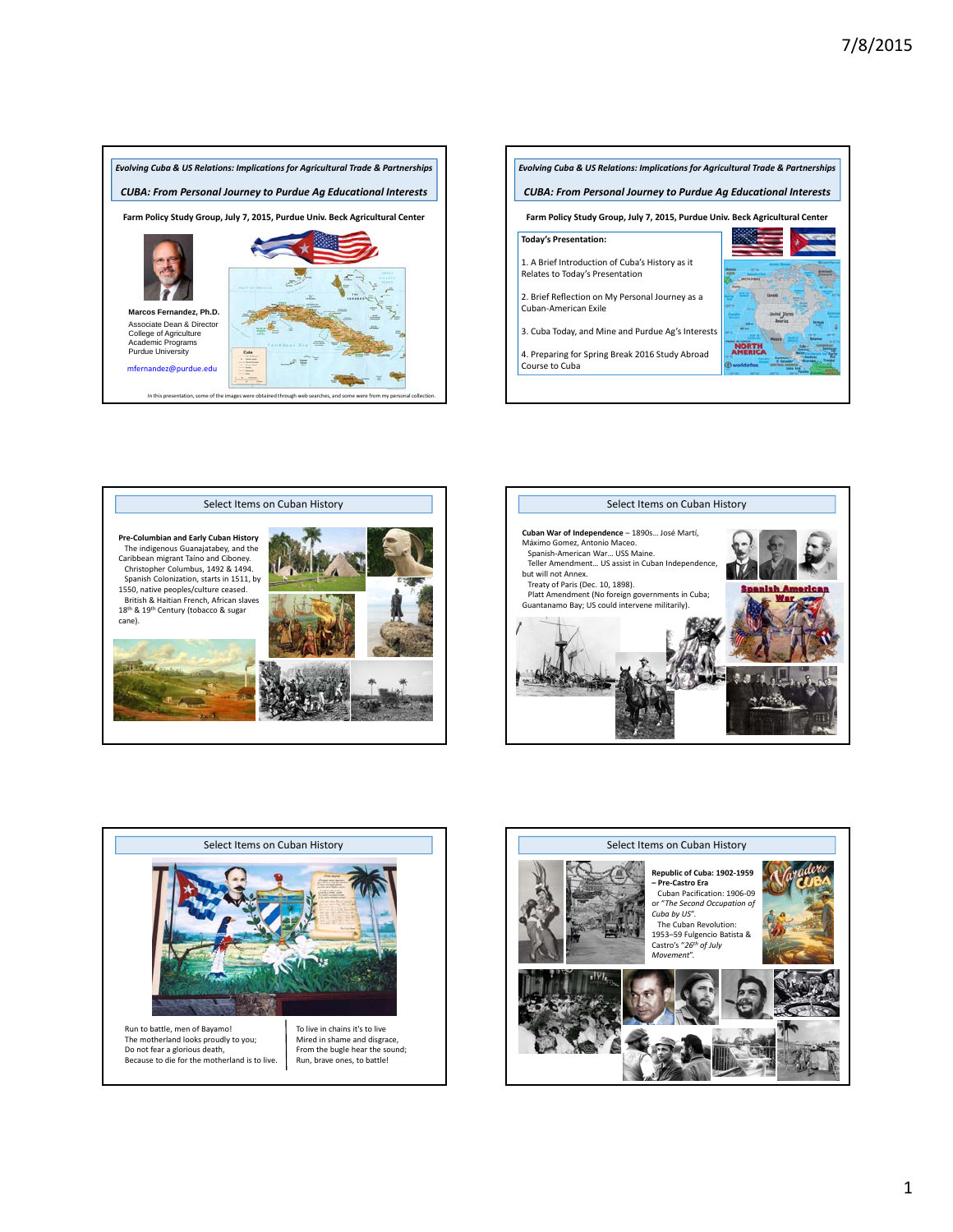









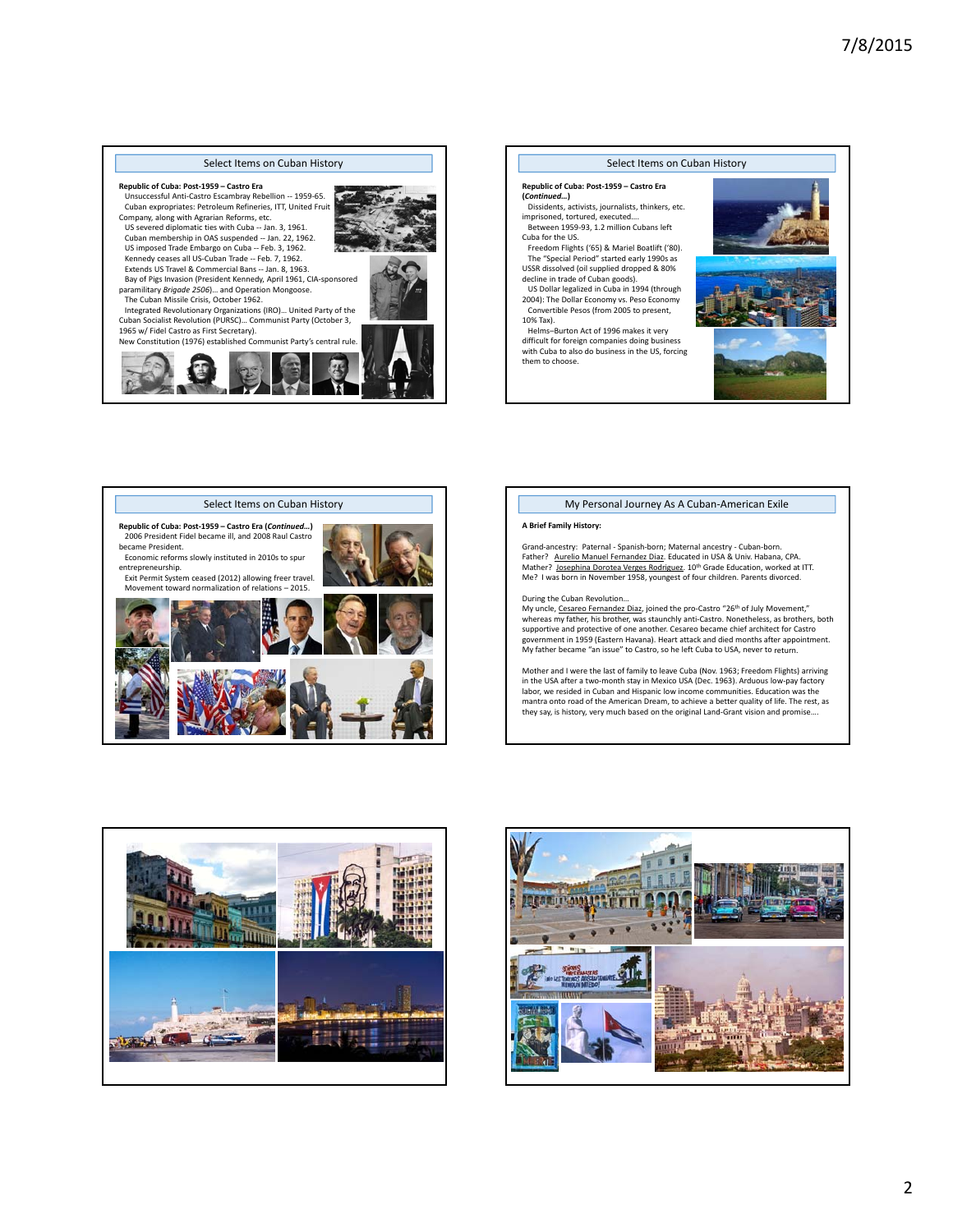## **Republic of Cuba: Post‐1959 – Castro Era** Unsuccessful Anti‐Castro Escambray Rebellion ‐‐ 1959‐65. Cuban expropriates: Petroleum Refineries, ITT, United Fruit Company, along with Agrarian Reforms, etc. US severed diplomatic ties with Cuba ‐‐ Jan. 3, 1961. Cuban membership in OAS suspended ‐‐ Jan. 22, 1962. US imposed Trade Embargo on Cuba ‐‐ Feb. 3, 1962. Kennedy ceases all US‐Cuban Trade ‐‐ Feb. 7, 1962. Extends US Travel & Commercial Bans ‐‐ Jan. 8, 1963. Bay of Pigs Invasion (President Kennedy, April 1961, CIA‐sponsored paramilitary *Brigade 2506*)… and Operation Mongoose. The Cuban Missile Crisis, October 1962. Integrated Revolutionary Organizations (IRO)… United Party of the Cuban Socialist Revolution (PURSC)… Communist Party (October 3, 1965 w/ Fidel Castro as First Secretary). New Constitution (1976) established Communist Party's central rule. Select Items on Cuban History





## My Personal Journey As A Cuban‐American Exile

## **A Brief Family History:**

Grand‐ancestry: Paternal ‐ Spanish‐born; Maternal ancestry ‐ Cuban‐born. Father? Aurelio Manuel Fernandez Diaz. Educated in USA & Univ. Habana, CPA.<br>Mather? Josephina Dorotea Verges Rodriguez. 10<sup>th</sup> Grade Education, worked at ITT. Me? I was born in November 1958, youngest of four children. Parents divorced.

## During the Cuban Revolution…

My uncle, Cesareo Fernandez Diaz, joined the pro‐Castro "26th of July Movement," whereas my father, his brother, was staunchly anti‐Castro. Nonetheless, as brothers, both supportive and protective of one another. Cesareo became chief architect for Castro government in 1959 (Eastern Havana). Heart attack and died months after appointment. My father became "an issue" to Castro, so he left Cuba to USA, never to return.

Mother and I were the last of family to leave Cuba (Nov. 1963; Freedom Flights) arriving in the USA after a two-month stay in Mexico USA (Dec. 1963). Arduous low-pay factory labor, we resided in Cuban and Hispanic low income communities. Education was the mantra onto road of the American Dream, to achieve a better quality of life. The rest, as they say, is history, very much based on the original Land‐Grant vision and promise….



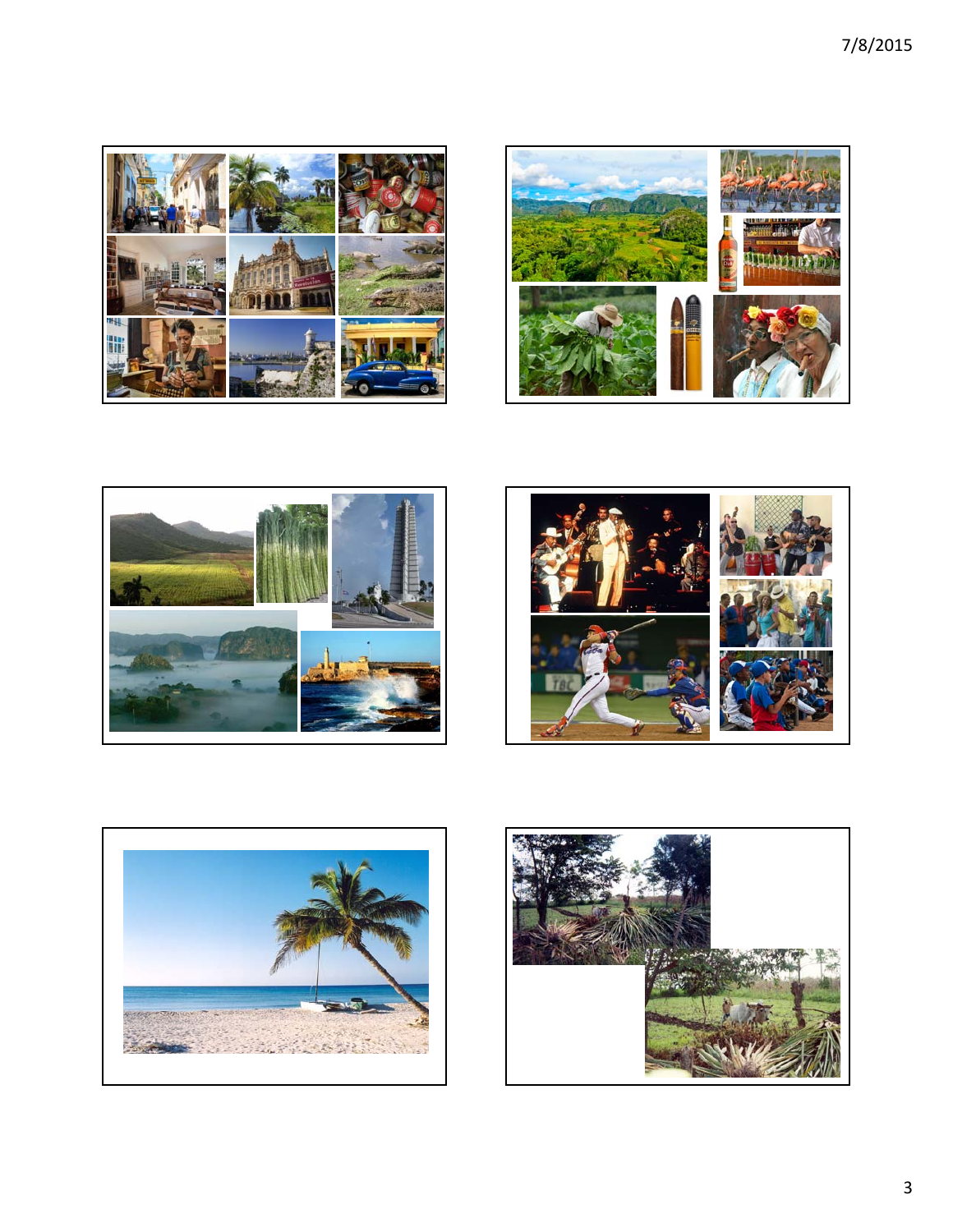









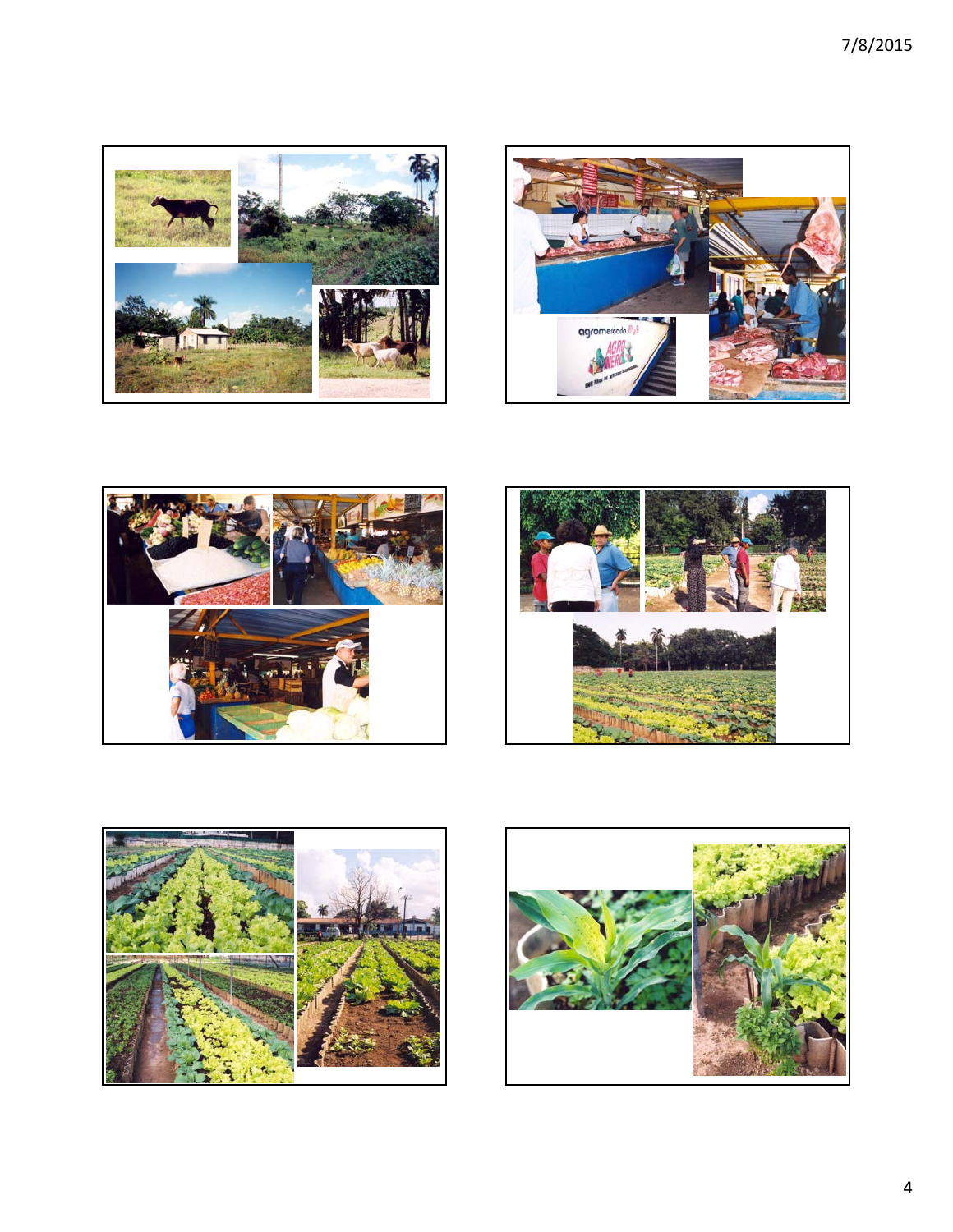